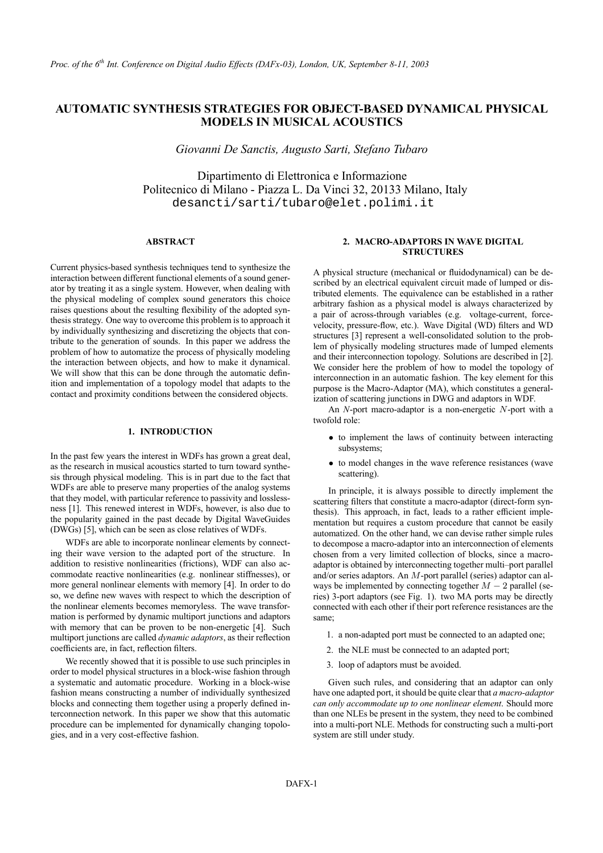# **AUTOMATIC SYNTHESIS STRATEGIES FOR OBJECT-BASED DYNAMICAL PHYSICAL MODELS IN MUSICAL ACOUSTICS**

*Giovanni De Sanctis, Augusto Sarti, Stefano Tubaro*

Dipartimento di Elettronica e Informazione Politecnico di Milano -Piazza L. Da Vinci 32, 20133 Milano, Italy desancti/sarti/tubaro@elet.polimi.it

#### **ABSTRACT**

Current physics-based synthesis techniques tend to synthesize the interaction between different functional elements of a sound generator by treating it as a single system. However, when dealing with the physical modeling of complex sound generators this choice raises questions about the resulting flexibility of the adopted synthesis strategy. One way to overcome this problem is to approach it by individually synthesizing and discretizing the objects that contribute to the generation of sounds. In this paper we address the problem of how to automatize the process of physically modeling the interaction between objects, and how to make it dynamical. We will show that this can be done through the automatic definition and implementation of a topology model that adapts to the contact and proximity conditions between the considered objects.

#### **1. INTRODUCTION**

In the past few years the interest in WDFs has grown a great deal, as the research in musical acoustics started to turn toward synthesis through physical modeling. This is in part due to the fact that WDFs are able to preserve many properties of the analog systems that they model, with particular reference to passivity and losslessness [1]. This renewed interest in WDFs, however, is also due to the popularity gained in the past decade by Digital WaveGuides (DWGs) [5], which can be seen as close relatives of WDFs.

WDFs are able to incorporate nonlinear elements by connecting their wave version to the adapted port of the structure. In addition to resistive nonlinearities (frictions), WDF can also accommodate reactive nonlinearities (e.g. nonlinear stiffnesses), or more general nonlinear elements with memory [4]. In order to do so, we define new waves with respect to which the description of the nonlinear elements becomes memoryless. The wave transformation is performed by dynamic multiport junctions and adaptors with memory that can be proven to be non-energetic [4]. Such multiport junctions are called *dynamic adaptors*, as their reflection coefficients are, in fact, reflection filters.

We recently showed that it is possible to use such principles in order to model physical structures in a block-wise fashion through a systematic and automatic procedure. Working in a block-wise fashion means constructing a number of individually synthesized blocks and connecting them together using a properly defined interconnection network. In this paper we show that this automatic procedure can be implemented for dynamically changing topologies, and in a very cost-effective fashion.

#### **2. MACRO-ADAPTORS IN WAVE DIGITAL STRUCTURES**

A physical structure (mechanical or fluidodynamical) can be described by an electrical equivalent circuit made of lumped or distributed elements. The equivalence can be established in a rather arbitrary fashion as a physical model is always characterized by a pair of across-through variables (e.g. voltage-current, forcevelocity, pressure-flow, etc.). Wave Digital (WD) filters and WD structures [3] represent a well-consolidated solution to the problem of physically modeling structures made of lumped elements and their interconnection topology. Solutions are described in [2]. We consider here the problem of how to model the topology of interconnection in an automatic fashion. The key element for this purpose is the Macro-Adaptor (MA), which constitutes a generalization of scattering junctions in DWG and adaptors in WDF.

An *N*-port macro-adaptor is a non-energetic N-port with a twofold role:

- to implement the laws of continuity between interacting subsystems;
- to model changes in the wave reference resistances (wave scattering).

In principle, it is always possible to directly implement the scattering filters that constitute a macro-adaptor (direct-form synthesis). This approach, in fact, leads to a rather efficient implementation but requires a custom procedure that cannot be easily automatized. On the other hand, we can devise rather simple rules to decompose a macro-adaptor into an interconnection of elements chosen from a very limited collection of blocks, since a macroadaptor is obtained by interconnecting together multi–port parallel and/or series adaptors. An M-port parallel (series) adaptor can always be implemented by connecting together  $M - 2$  parallel (series) 3-port adaptors (see Fig. 1). two MA ports may be directly connected with each other if their port reference resistances are the same;

- 1. a non-adapted port must be connected to an adapted one;
- 2. the NLE must be connected to an adapted port;
- 3. loop of adaptors must be avoided.

Given such rules, and considering that an adaptor can only have one adapted port, it should be quite clear that *a macro-adaptor can only accommodate up to one nonlinear element*. Should more than one NLEs be present in the system, they need to be combined into a multi-port NLE. Methods for constructing such a multi-port system are still under study.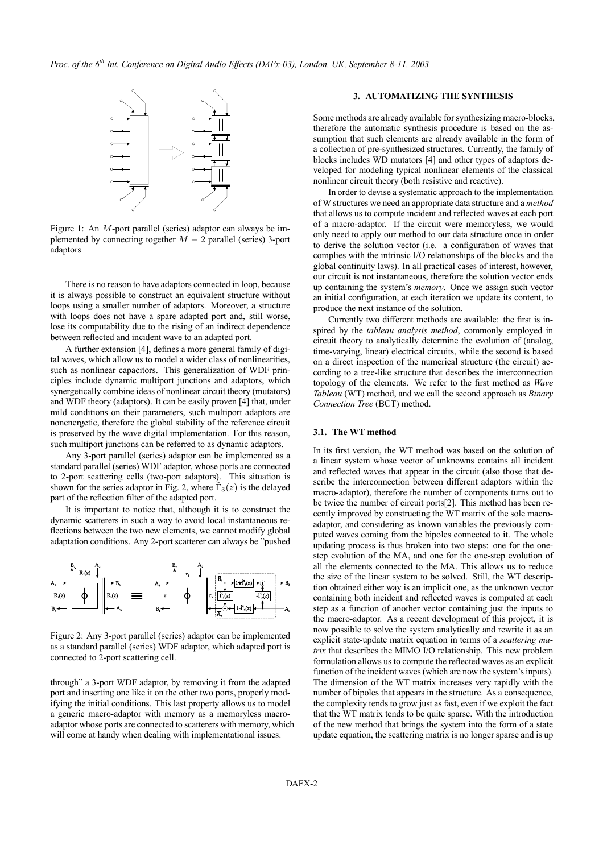

Figure 1: An M-port parallel (series) adaptor can always be implemented by connecting together  $M - 2$  parallel (series) 3-port adaptors

There is no reason to have adaptors connected in loop, because it is always possible to construct an equivalent structure without loops using a smaller number of adaptors. Moreover, a structure with loops does not have a spare adapted port and, still worse, lose its computability due to the rising of an indirect dependence between reflected and incident wave to an adapted port.

A further extension [4], defines a more general family of digital waves, which allow us to model a wider class of nonlinearities, such as nonlinear capacitors. This generalization of WDF principles include dynamic multiport junctions and adaptors, which synergetically combine ideas of nonlinear circuit theory (mutators) and WDF theory (adaptors). It can be easily proven [4] that, under mild conditions on their parameters, such multiport adaptors are nonenergetic, therefore the global stability of the reference circuit is preserved by the wave digital implementation. For this reason, such multiport junctions can be referred to as dynamic adaptors.

Any 3-port parallel (series) adaptor can be implemented as a standard parallel (series) WDF adaptor, whose ports are connected to 2-port scattering cells (two-port adaptors). This situation is shown for the series adaptor in Fig. 2, where  $\Gamma_3(z)$  is the delayed part of the reflection filter of the adapted port.

It is important to notice that, although it is to construct the dynamic scatterers in such a way to avoid local instantaneous reflections between the two new elements, we cannot modify global adaptation conditions. Any 2-port scatterer can always be "pushed



Figure 2: Any 3-port parallel (series) adaptor can be implemented as a standard parallel (series) WDF adaptor, which adapted port is connected to 2-port scattering cell.

through" a 3-port WDF adaptor, by removing it from the adapted port and inserting one like it on the other two ports, properly modifying the initial conditions. This last property allows us to model a generic macro-adaptor with memory as a memoryless macroadaptor whose ports are connected to scatterers with memory, which will come at handy when dealing with implementational issues.

## **3. AUTOMATIZING THE SYNTHESIS**

Some methods are already available for synthesizing macro-blocks, therefore the automatic synthesis procedure is based on the assumption that such elements are already available in the form of a collection of pre-synthesized structures. Currently, the family of blocks includes WD mutators [4] and other types of adaptors developed for modeling typical nonlinear elements of the classical nonlinear circuit theory (both resistive and reactive).

In order to devise a systematic approach to the implementation of W structures we need an appropriate data structure and a *method* that allows us to compute incident and reflected waves at each port of a macro-adaptor. If the circuit were memoryless, we would only need to apply our method to our data structure once in order to derive the solution vector (i.e. a configuration of waves that complies with the intrinsic I/O relationships of the blocks and the global continuity laws). In all practical cases of interest, however, our circuit is not instantaneous, therefore the solution vector ends up containing the system's *memory*. Once we assign such vector an initial configuration, at each iteration we update its content, to produce the next instance of the solution.

Currently two different methods are available: the first is inspired by the *tableau analysis method*, commonly employed in circuit theory to analytically determine the evolution of (analog, time-varying, linear) electrical circuits, while the second is based on a direct inspection of the numerical structure (the circuit) according to a tree-like structure that describes the interconnection topology of the elements. We refer to the first method as *Wave Tableau* (WT) method, and we call the second approach as *Binary Connection Tree* (BCT) method.

## **3.1. The WT method**

In its first version, the WT method was based on the solution of a linear system whose vector of unknowns contains all incident and reflected waves that appear in the circuit (also those that describe the interconnection between different adaptors within the macro-adaptor), therefore the number of components turns out to be twice the number of circuit ports[2]. This method has been recently improved by constructing the WT matrix of the sole macroadaptor, and considering as known variables the previously computed waves coming from the bipoles connected to it. The whole updating process is thus broken into two steps: one for the onestep evolution of the MA, and one for the one-step evolution of all the elements connected to the MA. This allows us to reduce the size of the linear system to be solved. Still, the WT description obtained either way is an implicit one, as the unknown vector containing both incident and reflected waves is computed at each step as a function of another vector containing just the inputs to the macro-adaptor. As a recent development of this project, it is now possible to solve the system analytically and rewrite it as an explicit state-update matrix equation in terms of a *scattering matrix* that describes the MIMO I/O relationship. This new problem formulation allows us to compute the reflected waves as an explicit function of the incident waves (which are now the system's inputs). The dimension of the WT matrix increases very rapidly with the number of bipoles that appears in the structure. As a consequence, the complexity tends to grow just as fast, even if we exploit the fact that the WT matrix tends to be quite sparse. With the introduction of the new method that brings the system into the form of a state update equation, the scattering matrix is no longer sparse and is up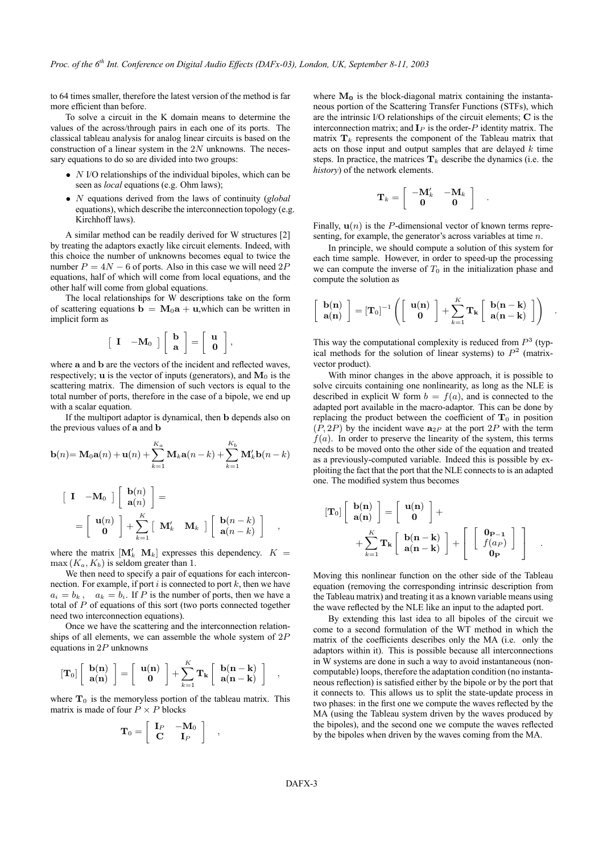to 64 times smaller, therefore the latest version of the method is far more efficient than before.

To solve a circuit in the K domain means to determine the values of the across/through pairs in each one of its ports. The classical tableau analysis for analog linear circuits is based on the construction of a linear system in the  $2N$  unknowns. The necessary equations to do so are divided into two groups:

- $N$  I/O relationships of the individual bipoles, which can be seen as *local* equations (e.g. Ohm laws);
- N equations derived from the laws of continuity (*global* equations), which describe the interconnection topology (e.g. Kirchhoff laws).

A similar method can be readily derived for W structures [2] by treating the adaptors exactly like circuit elements. Indeed, with this choice the number of unknowns becomes equal to twice the number  $P = 4N - 6$  of ports. Also in this case we will need  $2P$ equations, half of which will come from local equations, and the other half will come from global equations.

The local relationships for W descriptions take on the form of scattering equations  $\mathbf{b} = \mathbf{M}_0 \mathbf{a} + \mathbf{u}$ , which can be written in implicit form as

$$
\left[\begin{array}{cc} \mathbf{I} & -\mathbf{M}_0 \end{array}\right] \left[\begin{array}{c} \mathbf{b} \\ \mathbf{a} \end{array}\right] = \left[\begin{array}{c} \mathbf{u} \\ \mathbf{0} \end{array}\right],
$$

where a and b are the vectors of the incident and reflected waves, respectively; **u** is the vector of inputs (generators), and  $M_0$  is the scattering matrix. The dimension of such vectors is equal to the total number of ports, therefore in the case of a bipole, we end up with a scalar equation.

If the multiport adaptor is dynamical, then b depends also on the previous values of a and b

$$
\mathbf{b}(n) = \mathbf{M}_0 \mathbf{a}(n) + \mathbf{u}(n) + \sum_{k=1}^{K_a} \mathbf{M}_k \mathbf{a}(n-k) + \sum_{k=1}^{K_b} \mathbf{M}'_k \mathbf{b}(n-k)
$$

$$
\begin{bmatrix} \mathbf{I} & -\mathbf{M}_0 \end{bmatrix} \begin{bmatrix} \mathbf{b}(n) \\ \mathbf{a}(n) \end{bmatrix} =
$$

$$
= \begin{bmatrix} \mathbf{u}(n) \\ \mathbf{0} \end{bmatrix} + \sum_{k=1}^{K} \begin{bmatrix} \mathbf{M}'_k & \mathbf{M}_k \end{bmatrix} \begin{bmatrix} \mathbf{b}(n-k) \\ \mathbf{a}(n-k) \end{bmatrix} ,
$$

where the matrix  $[M'_k \, M_k]$  expresses this dependency.  $K =$  $\max(K_a, K_b)$  is seldom greater than 1.

 $_{k=1}$ 

We then need to specify a pair of equations for each interconnection. For example, if port  $i$  is connected to port  $k$ , then we have  $a_i = b_k$ ,  $a_k = b_i$ . If P is the number of ports, then we have a total of  $P$  of equations of this sort (two ports connected together need two interconnection equations).

Once we have the scattering and the interconnection relationships of all elements, we can assemble the whole system of 2P equations in  $2P$  unknowns

$$
\begin{bmatrix} \mathbf{T}_0 \end{bmatrix} \begin{bmatrix} \mathbf{b(n)} \\ \mathbf{a(n)} \end{bmatrix} = \begin{bmatrix} \mathbf{u(n)} \\ \mathbf{0} \end{bmatrix} + \sum_{k=1}^K \mathbf{T_k} \begin{bmatrix} \mathbf{b(n-k)} \\ \mathbf{a(n-k)} \end{bmatrix} ,
$$

where  $T_0$  is the memoryless portion of the tableau matrix. This matrix is made of four  $P \times P$  blocks

$$
\mathbf{T}_0 = \left[ \begin{array}{cc} \mathbf{I}_P & -\mathbf{M}_0 \\ \mathbf{C} & \mathbf{I}_P \end{array} \right]
$$

,

where  $M_0$  is the block-diagonal matrix containing the instantaneous portion of the Scattering Transfer Functions (STFs), which are the intrinsic I/O relationships of the circuit elements; C is the interconnection matrix; and  $I_P$  is the order- $P$  identity matrix. The matrix  $\mathbf{T}_k$  represents the component of the Tableau matrix that acts on those input and output samples that are delayed  $k$  time steps. In practice, the matrices  $\mathbf{T}_k$  describe the dynamics (i.e. the *history*) of the network elements.

$$
\mathbf{T}_k = \left[ \begin{array}{cc} -\mathbf{M}'_k & -\mathbf{M}_k \\ \mathbf{0} & \mathbf{0} \end{array} \right]
$$

.

.

Finally,  $\mathbf{u}(n)$  is the P-dimensional vector of known terms representing, for example, the generator's across variables at time *n*.

In principle, we should compute a solution of this system for each time sample. However, in order to speed-up the processing we can compute the inverse of  $T_0$  in the initialization phase and compute the solution as

$$
\left[\begin{array}{c}\mathbf{b(n)}\\\mathbf{a(n)}\end{array}\right]=\left[\mathbf{T_0}\right]^{-1}\left(\left[\begin{array}{c}\mathbf{u(n)}\\\mathbf{0}\end{array}\right]+\sum_{k=1}^K\mathbf{T_k}\left[\begin{array}{c}\mathbf{b(n-k)}\\\mathbf{a(n-k)}\end{array}\right]\right)
$$

This way the computational complexity is reduced from  $P<sup>3</sup>$  (typical methods for the solution of linear systems) to  $P<sup>2</sup>$  (matrixvector product).

With minor changes in the above approach, it is possible to solve circuits containing one nonlinearity, as long as the NLE is described in explicit W form  $b = f(a)$ , and is connected to the adapted port available in the macro-adaptor. This can be done by replacing the product between the coefficient of  $T_0$  in position  $(P, 2P)$  by the incident wave  $a_{2P}$  at the port  $2P$  with the term  $f(a)$ . In order to preserve the linearity of the system, this terms needs to be moved onto the other side of the equation and treated as a previously-computed variable. Indeed this is possible by exploiting the fact that the port that the NLE connects to is an adapted one. The modified system thus becomes

$$
\begin{aligned} \left[\mathbf{T}_0\right]\left[\begin{array}{c}\mathbf{b(n)} \\ \mathbf{a(n)}\end{array}\right] &= \left[\begin{array}{c}\mathbf{u(n)} \\ \mathbf{0}\end{array}\right] + \\ & + \sum_{k=1}^K \mathbf{T_k}\left[\begin{array}{c}\mathbf{b(n-k)} \\ \mathbf{a(n-k)}\end{array}\right] + \left[\begin{array}{c}\left[\begin{array}{c}\mathbf{0_{P-1}} \\ f(a_P)\end{array}\right] \\ & \mathbf{0_P}\end{array}\right] \end{aligned}.
$$

Moving this nonlinear function on the other side of the Tableau equation (removing the corresponding intrinsic description from the Tableau matrix) and treating it as a known variable means using the wave reflected by the NLE like an input to the adapted port.

By extending this last idea to all bipoles of the circuit we come to a second formulation of the WT method in which the matrix of the coefficients describes only the MA (i.e. only the adaptors within it). This is possible because all interconnections in W systems are done in such a way to avoid instantaneous (noncomputable) loops, therefore the adaptation condition (no instantaneous reflection) is satisfied either by the bipole or by the port that it connects to. This allows us to split the state-update process in two phases: in the first one we compute the waves reflected by the MA (using the Tableau system driven by the waves produced by the bipoles), and the second one we compute the waves reflected by the bipoles when driven by the waves coming from the MA.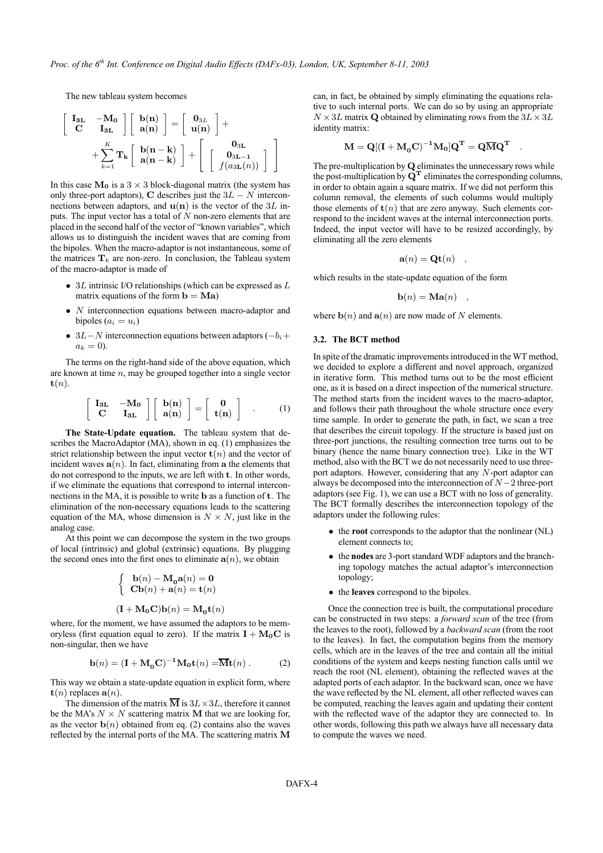The new tableau system becomes

$$
\begin{bmatrix}\n\mathbf{I}_{3L} & -\mathbf{M}_{0} \\
\mathbf{C} & \mathbf{I}_{3L}\n\end{bmatrix}\n\begin{bmatrix}\n\mathbf{b(n)} \\
\mathbf{a(n)}\n\end{bmatrix} =\n\begin{bmatrix}\n\mathbf{0}_{3L} \\
\mathbf{u(n)}\n\end{bmatrix} + \n+ \sum_{k=1}^{K} \mathbf{T}_{k} \begin{bmatrix}\n\mathbf{b(n-k)} \\
\mathbf{a(n-k)}\n\end{bmatrix} + \n\begin{bmatrix}\n\mathbf{0}_{3L} \\
\mathbf{0}_{3L-1} \\
f(a_{3L}(n))\n\end{bmatrix}
$$

In this case  $M_0$  is a 3  $\times$  3 block-diagonal matrix (the system has only three-port adaptors), C describes just the  $3L - N$  interconnections between adaptors, and  $\mathbf{u}(\mathbf{n})$  is the vector of the 3L inputs. The input vector has a total of  $N$  non-zero elements that are placed in the second half of the vector of "known variables", which allows us to distinguish the incident waves that are coming from the bipoles. When the macro-adaptor is not instantaneous, some of the matrices  $\mathbf{T}_k$  are non-zero. In conclusion, the Tableau system of the macro-adaptor is made of

- 3L intrinsic I/O relationships (which can be expressed as  $L$ matrix equations of the form  $\mathbf{b} = \mathbf{M}\mathbf{a}$
- *N* interconnection equations between macro-adaptor and bipoles  $(a_i = u_i)$
- 3L−N interconnection equations between adaptors  $(-b_i +$  $a_k = 0.$

The terms on the right-hand side of the above equation, which are known at time  $n$ , may be grouped together into a single vector  $t(n)$ .

$$
\left[\begin{array}{cc} \mathbf{I}_{3L} & -\mathbf{M}_0 \\ \mathbf{C} & \mathbf{I}_{3L} \end{array}\right] \left[\begin{array}{c} \mathbf{b(n)} \\ \mathbf{a(n)} \end{array}\right] = \left[\begin{array}{c} \mathbf{0} \\ \mathbf{t(n)} \end{array}\right] \quad . \tag{1}
$$

**The State-Update equation.** The tableau system that describes the MacroAdaptor (MA), shown in eq. (1) emphasizes the strict relationship between the input vector  $t(n)$  and the vector of incident waves  $a(n)$ . In fact, eliminating from a the elements that do not correspond to the inputs, we are left with t. In other words, if we eliminate the equations that correspond to internal interconnections in the MA, it is possible to write b as a function of t. The elimination of the non-necessary equations leads to the scattering equation of the MA, whose dimension is  $N \times N$ , just like in the analog case.

At this point we can decompose the system in the two groups of local (intrinsic) and global (extrinsic) equations. By plugging the second ones into the first ones to eliminate  $a(n)$ , we obtain

$$
\left\{ \begin{array}{l} \mathbf{b}(n) - \mathbf{M_0}\mathbf{a}(n) = \mathbf{0} \\ \mathbf{C} \mathbf{b}(n) + \mathbf{a}(n) = \mathbf{t}(n) \\ \end{array} \right. \label{eq:22}
$$
 
$$
(\mathbf{I} + \mathbf{M_0}\mathbf{C})\mathbf{b}(n) = \mathbf{M_0}\mathbf{t}(n)
$$

where, for the moment, we have assumed the adaptors to be memoryless (first equation equal to zero). If the matrix  $I + M_0C$  is non-singular, then we have

$$
\mathbf{b}(n) = (\mathbf{I} + \mathbf{M}_0 \mathbf{C})^{-1} \mathbf{M}_0 \mathbf{t}(n) = \overline{\mathbf{M}} \mathbf{t}(n) .
$$
 (2)

This way we obtain a state-update equation in explicit form, where  $t(n)$  replaces  $a(n)$ .

The dimension of the matrix  $\overline{M}$  is  $3L \times 3L$ , therefore it cannot be the MA's  $N \times N$  scattering matrix **M** that we are looking for, as the vector  $\mathbf{b}(n)$  obtained from eq. (2) contains also the waves reflected by the internal ports of the MA. The scattering matrix M can, in fact, be obtained by simply eliminating the equations relative to such internal ports. We can do so by using an appropriate  $N \times 3L$  matrix Q obtained by eliminating rows from the  $3L \times 3L$ identity matrix:

$$
\mathbf{M} = \mathbf{Q}[(\mathbf{I} + \mathbf{M}_0 \mathbf{C})^{-1} \mathbf{M}_0] \mathbf{Q}^{\mathbf{T}} = \mathbf{Q} \overline{\mathbf{M}} \mathbf{Q}^{\mathbf{T}} \quad .
$$

The pre-multiplication by Q eliminates the unnecessary rows while the post-multiplication by  $\mathbf{Q}^{\mathbf{T}}$  eliminates the corresponding columns, in order to obtain again a square matrix. If we did not perform this column removal, the elements of such columns would multiply those elements of  $t(n)$  that are zero anyway. Such elements correspond to the incident waves at the internal interconnection ports. Indeed, the input vector will have to be resized accordingly, by eliminating all the zero elements

$$
\mathbf{a}(n) = \mathbf{Qt}(n) \quad ,
$$

which results in the state-update equation of the form

$$
\mathbf{b}(n) = \mathbf{M}\mathbf{a}(n) \quad ,
$$

where  $\mathbf{b}(n)$  and  $\mathbf{a}(n)$  are now made of N elements.

#### **3.2. The BCT method**

In spite of the dramatic improvements introduced in the WT method, we decided to explore a different and novel approach, organized in iterative form. This method turns out to be the most efficient one, as it is based on a direct inspection of the numerical structure. The method starts from the incident waves to the macro-adaptor, and follows their path throughout the whole structure once every time sample. In order to generate the path, in fact, we scan a tree that describes the circuit topology. If the structure is based just on three-port junctions, the resulting connection tree turns out to be binary (hence the name binary connection tree). Like in the WT method, also with the BCT we do not necessarily need to use threeport adaptors. However, considering that any N-port adaptor can always be decomposed into the interconnection of  $N-2$  three-port adaptors (see Fig. 1), we can use a BCT with no loss of generality. The BCT formally describes the interconnection topology of the adaptors under the following rules:

- the **root** corresponds to the adaptor that the nonlinear (NL) element connects to;
- the **nodes** are 3-port standard WDF adaptors and the branching topology matches the actual adaptor's interconnection topology;
- the **leaves** correspond to the bipoles.

Once the connection tree is built, the computational procedure can be constructed in two steps: a *forward scan* of the tree (from the leaves to the root), followed by a *backward scan* (from the root to the leaves). In fact, the computation begins from the memory cells, which are in the leaves of the tree and contain all the initial conditions of the system and keeps nesting function calls until we reach the root (NL element), obtaining the reflected waves at the adapted ports of each adaptor. In the backward scan, once we have the wave reflected by the NL element, all other reflected waves can be computed, reaching the leaves again and updating their content with the reflected wave of the adaptor they are connected to. In other words, following this path we always have all necessary data to compute the waves we need.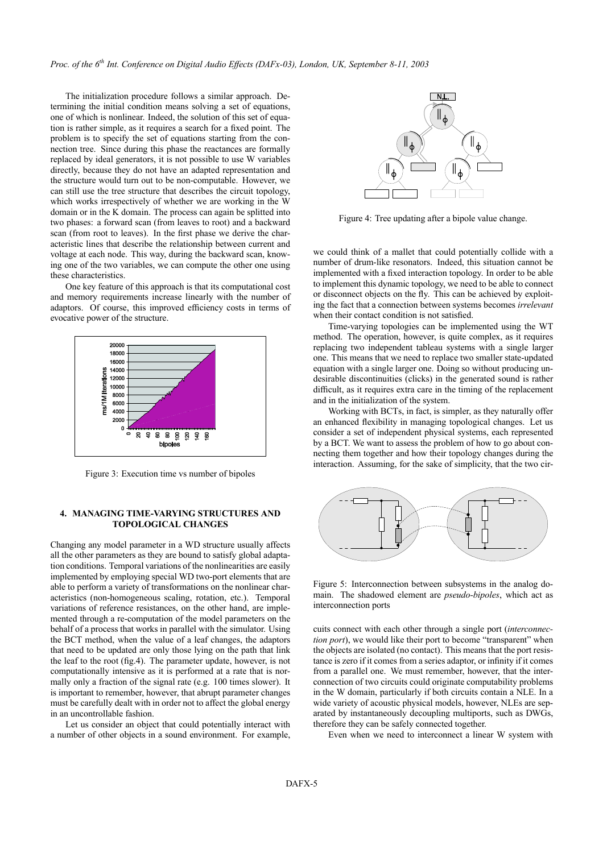*Proc. of the 6th Int. Conference on Digital Audio Effects (DAFx-03), London, UK, September 8-11, 2003*

The initialization procedure follows a similar approach. Determining the initial condition means solving a set of equations, one of which is nonlinear. Indeed, the solution of this set of equation is rather simple, as it requires a search for a fixed point. The problem is to specify the set of equations starting from the connection tree. Since during this phase the reactances are formally replaced by ideal generators, it is not possible to use W variables directly, because they do not have an adapted representation and the structure would turn out to be non-computable. However, we can still use the tree structure that describes the circuit topology, which works irrespectively of whether we are working in the W domain or in the K domain. The process can again be splitted into two phases: a forward scan (from leaves to root) and a backward scan (from root to leaves). In the first phase we derive the characteristic lines that describe the relationship between current and voltage at each node. This way, during the backward scan, knowing one of the two variables, we can compute the other one using these characteristics.

One key feature of this approach is that its computational cost and memory requirements increase linearly with the number of adaptors. Of course, this improved efficiency costs in terms of evocative power of the structure.



Figure 3: Execution time vs number of bipoles

## **4. MANAGING TIME-VARYING STRUCTURES AND TOPOLOGICAL CHANGES**

Changing any model parameter in a WD structure usually affects all the other parameters as they are bound to satisfy global adaptation conditions. Temporal variations of the nonlinearities are easily implemented by employing special WD two-port elements that are able to perform a variety of transformations on the nonlinear characteristics (non-homogeneous scaling, rotation, etc.). Temporal variations of reference resistances, on the other hand, are implemented through a re-computation of the model parameters on the behalf of a process that works in parallel with the simulator. Using the BCT method, when the value of a leaf changes, the adaptors that need to be updated are only those lying on the path that link the leaf to the root (fig.4). The parameter update, however, is not computationally intensive as it is performed at a rate that is normally only a fraction of the signal rate (e.g. 100 times slower). It is important to remember, however, that abrupt parameter changes must be carefully dealt with in order not to affect the global energy in an uncontrollable fashion.

Let us consider an object that could potentially interact with a number of other objects in a sound environment. For example,



Figure 4: Tree updating after a bipole value change.

we could think of a mallet that could potentially collide with a number of drum-like resonators. Indeed, this situation cannot be implemented with a fixed interaction topology. In order to be able to implement this dynamic topology, we need to be able to connect or disconnect objects on the fly. This can be achieved by exploiting the fact that a connection between systems becomes *irrelevant* when their contact condition is not satisfied.

Time-varying topologies can be implemented using the WT method. The operation, however, is quite complex, as it requires replacing two independent tableau systems with a single larger one. This means that we need to replace two smaller state-updated equation with a single larger one. Doing so without producing undesirable discontinuities (clicks) in the generated sound is rather difficult, as it requires extra care in the timing of the replacement and in the initialization of the system.

Working with BCTs, in fact, is simpler, as they naturally offer an enhanced flexibility in managing topological changes. Let us consider a set of independent physical systems, each represented by a BCT. We want to assess the problem of how to go about connecting them together and how their topology changes during the interaction. Assuming, for the sake of simplicity, that the two cir-



Figure 5: Interconnection between subsystems in the analog domain. The shadowed element are *pseudo-bipoles*, which act as interconnection ports

cuits connect with each other through a single port (*interconnection port*), we would like their port to become "transparent" when the objects are isolated (no contact). This means that the port resistance is zero if it comes from a series adaptor, or infinity if it comes from a parallel one. We must remember, however, that the interconnection of two circuits could originate computability problems in the W domain, particularly if both circuits contain a NLE. In a wide variety of acoustic physical models, however, NLEs are separated by instantaneously decoupling multiports, such as  $DW\hat{ds}$ , therefore they can be safely connected together.

Even when we need to interconnect a linear W system with